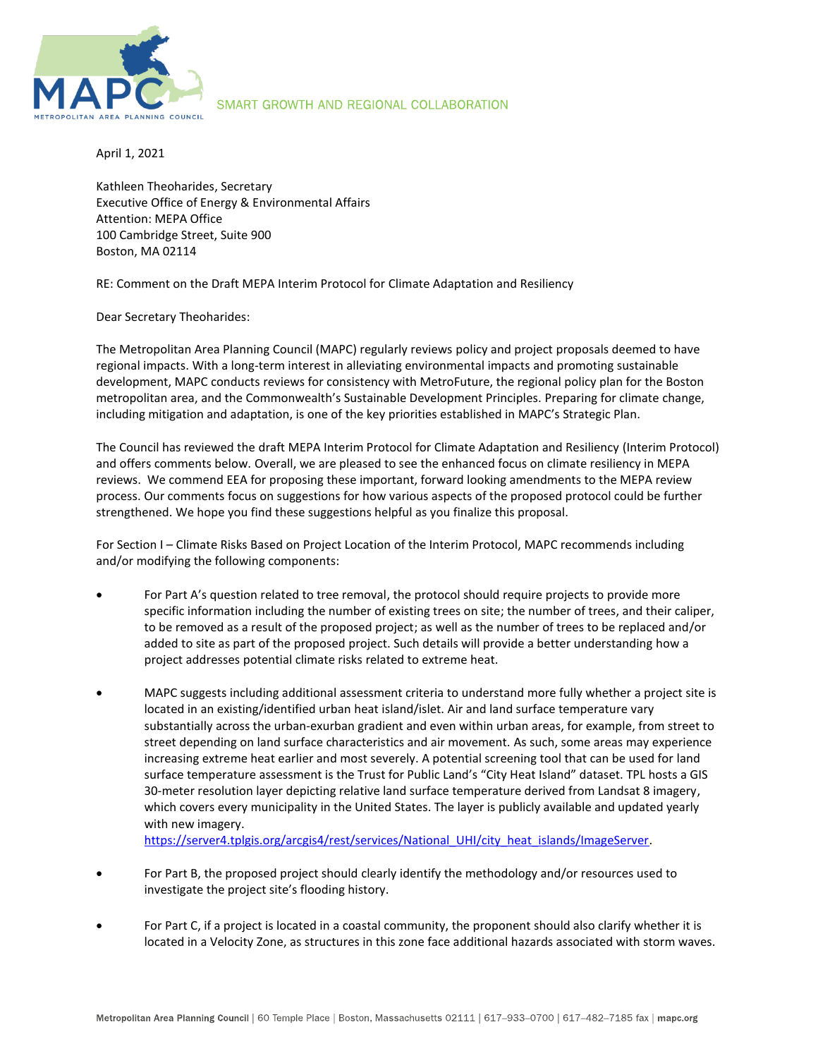

## SMART GROWTH AND REGIONAL COLLABORATION

April 1, 2021

Kathleen Theoharides, Secretary Executive Office of Energy & Environmental Affairs Attention: MEPA Office 100 Cambridge Street, Suite 900 Boston, MA 02114

RE: Comment on the Draft MEPA Interim Protocol for Climate Adaptation and Resiliency

Dear Secretary Theoharides:

The Metropolitan Area Planning Council (MAPC) regularly reviews policy and project proposals deemed to have regional impacts. With a long-term interest in alleviating environmental impacts and promoting sustainable development, MAPC conducts reviews for consistency with MetroFuture, the regional policy plan for the Boston metropolitan area, and the Commonwealth's Sustainable Development Principles. Preparing for climate change, including mitigation and adaptation, is one of the key priorities established in MAPC's Strategic Plan.

The Council has reviewed the draft MEPA Interim Protocol for Climate Adaptation and Resiliency (Interim Protocol) and offers comments below. Overall, we are pleased to see the enhanced focus on climate resiliency in MEPA reviews. We commend EEA for proposing these important, forward looking amendments to the MEPA review process. Our comments focus on suggestions for how various aspects of the proposed protocol could be further strengthened. We hope you find these suggestions helpful as you finalize this proposal.

For Section I – Climate Risks Based on Project Location of the Interim Protocol, MAPC recommends including and/or modifying the following components:

- For Part A's question related to tree removal, the protocol should require projects to provide more specific information including the number of existing trees on site; the number of trees, and their caliper, to be removed as a result of the proposed project; as well as the number of trees to be replaced and/or added to site as part of the proposed project. Such details will provide a better understanding how a project addresses potential climate risks related to extreme heat.
- MAPC suggests including additional assessment criteria to understand more fully whether a project site is located in an existing/identified urban heat island/islet. Air and land surface temperature vary substantially across the urban-exurban gradient and even within urban areas, for example, from street to street depending on land surface characteristics and air movement. As such, some areas may experience increasing extreme heat earlier and most severely. A potential screening tool that can be used for land surface temperature assessment is the Trust for Public Land's "City Heat Island" dataset. TPL hosts a GIS 30-meter resolution layer depicting relative land surface temperature derived from Landsat 8 imagery, which covers every municipality in the United States. The layer is publicly available and updated yearly with new imagery.

[https://server4.tplgis.org/arcgis4/rest/services/National\\_UHI/city\\_heat\\_islands/ImageServer.](https://server4.tplgis.org/arcgis4/rest/services/National_UHI/city_heat_islands/ImageServer)

- For Part B, the proposed project should clearly identify the methodology and/or resources used to investigate the project site's flooding history.
- For Part C, if a project is located in a coastal community, the proponent should also clarify whether it is located in a Velocity Zone, as structures in this zone face additional hazards associated with storm waves.